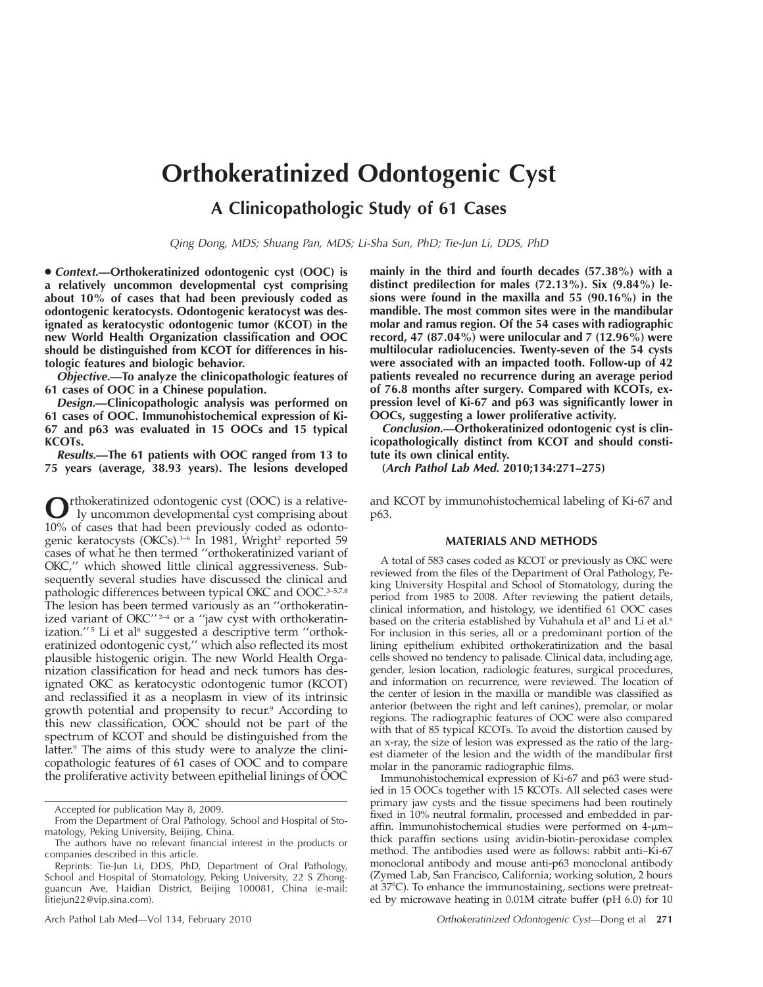# **Orthokeratinized Odontogenic Cyst**

**A Clinicopathologic Study of 61 Cases**

*Qing Dong, MDS; Shuang Pan, MDS; Li-Sha Sun, PhD; Tie-Jun Li, DDS, PhD*

● *Context.***—Orthokeratinized odontogenic cyst (OOC) is a relatively uncommon developmental cyst comprising about 10% of cases that had been previously coded as odontogenic keratocysts. Odontogenic keratocyst was designated as keratocystic odontogenic tumor (KCOT) in the new World Health Organization classification and OOC should be distinguished from KCOT for differences in histologic features and biologic behavior.**

*Objective.***—To analyze the clinicopathologic features of 61 cases of OOC in a Chinese population.**

*Design.***—Clinicopathologic analysis was performed on 61 cases of OOC. Immunohistochemical expression of Ki-67 and p63 was evaluated in 15 OOCs and 15 typical KCOTs.**

*Results.***—The 61 patients with OOC ranged from 13 to 75 years (average, 38.93 years). The lesions developed**

**O**rthokeratinized odontogenic cyst (OOC) is a relative-<br>ly uncommon developmental cyst comprising about 10% of cases that had been previously coded as odontogenic keratocysts (OKCs).<sup>1-6</sup> In 1981, Wright<sup>2</sup> reported 59 cases of what he then termed ''orthokeratinized variant of OKC,'' which showed little clinical aggressiveness. Subsequently several studies have discussed the clinical and pathologic differences between typical OKC and OOC.<sup>3-5,7,8</sup> The lesion has been termed variously as an ''orthokeratinized variant of OKC"<sup>2-4</sup> or a "jaw cyst with orthokeratinization."<sup>5</sup> Li et al<sup>6</sup> suggested a descriptive term "orthokeratinized odontogenic cyst,'' which also reflected its most plausible histogenic origin. The new World Health Organization classification for head and neck tumors has designated OKC as keratocystic odontogenic tumor (KCOT) and reclassified it as a neoplasm in view of its intrinsic growth potential and propensity to recur.<sup>9</sup> According to this new classification, OOC should not be part of the spectrum of KCOT and should be distinguished from the latter.<sup>9</sup> The aims of this study were to analyze the clinicopathologic features of 61 cases of OOC and to compare the proliferative activity between epithelial linings of OOC

**mainly in the third and fourth decades (57.38%) with a distinct predilection for males (72.13%). Six (9.84%) lesions were found in the maxilla and 55 (90.16%) in the mandible. The most common sites were in the mandibular molar and ramus region. Of the 54 cases with radiographic record, 47 (87.04%) were unilocular and 7 (12.96%) were multilocular radiolucencies. Twenty-seven of the 54 cysts were associated with an impacted tooth. Follow-up of 42 patients revealed no recurrence during an average period** of 76.8 months after surgery. Compared with KCOTs, ex**pression level of Ki-67 and p63 was significantly lower in OOCs, suggesting a lower proliferative activity.**

*Conclusion.***—Orthokeratinized odontogenic cyst is clinicopathologically distinct from KCOT and should constitute its own clinical entity.**

**(***Arch Pathol Lab Med.* **2010;134:271–275)**

and KCOT by immunohistochemical labeling of Ki-67 and p63.

## **MATERIALS AND METHODS**

A total of 583 cases coded as KCOT or previously as OKC were reviewed from the files of the Department of Oral Pathology, Peking University Hospital and School of Stomatology, during the period from 1985 to 2008. After reviewing the patient details, clinical information, and histology, we identified 61 OOC cases based on the criteria established by Vuhahula et al<sup>5</sup> and Li et al.<sup>6</sup> For inclusion in this series, all or a predominant portion of the lining epithelium exhibited orthokeratinization and the basal cells showed no tendency to palisade. Clinical data, including age, gender, lesion location, radiologic features, surgical procedures, and information on recurrence, were reviewed. The location of the center of lesion in the maxilla or mandible was classified as anterior (between the right and left canines), premolar, or molar regions. The radiographic features of OOC were also compared with that of 85 typical KCOTs. To avoid the distortion caused by an x-ray, the size of lesion was expressed as the ratio of the largest diameter of the lesion and the width of the mandibular first molar in the panoramic radiographic films.

Immunohistochemical expression of Ki-67 and p63 were studied in 15 OOCs together with 15 KCOTs. All selected cases were primary jaw cysts and the tissue specimens had been routinely fixed in 10% neutral formalin, processed and embedded in paraffin. Immunohistochemical studies were performed on 4-µm– thick paraffin sections using avidin-biotin-peroxidase complex method. The antibodies used were as follows: rabbit anti–Ki-67 monoclonal antibody and mouse anti-p63 monoclonal antibody (Zymed Lab, San Francisco, California; working solution, 2 hours at  $37^{\circ}$ C). To enhance the immunostaining, sections were pretreated by microwave heating in 0.01M citrate buffer (pH 6.0) for 10

Accepted for publication May 8, 2009.

From the Department of Oral Pathology, School and Hospital of Stomatology, Peking University, Beijing, China.

The authors have no relevant financial interest in the products or companies described in this article.

Reprints: Tie-Jun Li, DDS, PhD, Department of Oral Pathology, School and Hospital of Stomatology, Peking University, 22 S Zhongguancun Ave, Haidian District, Beijing 100081, China (e-mail: litiejun22@vip.sina.com).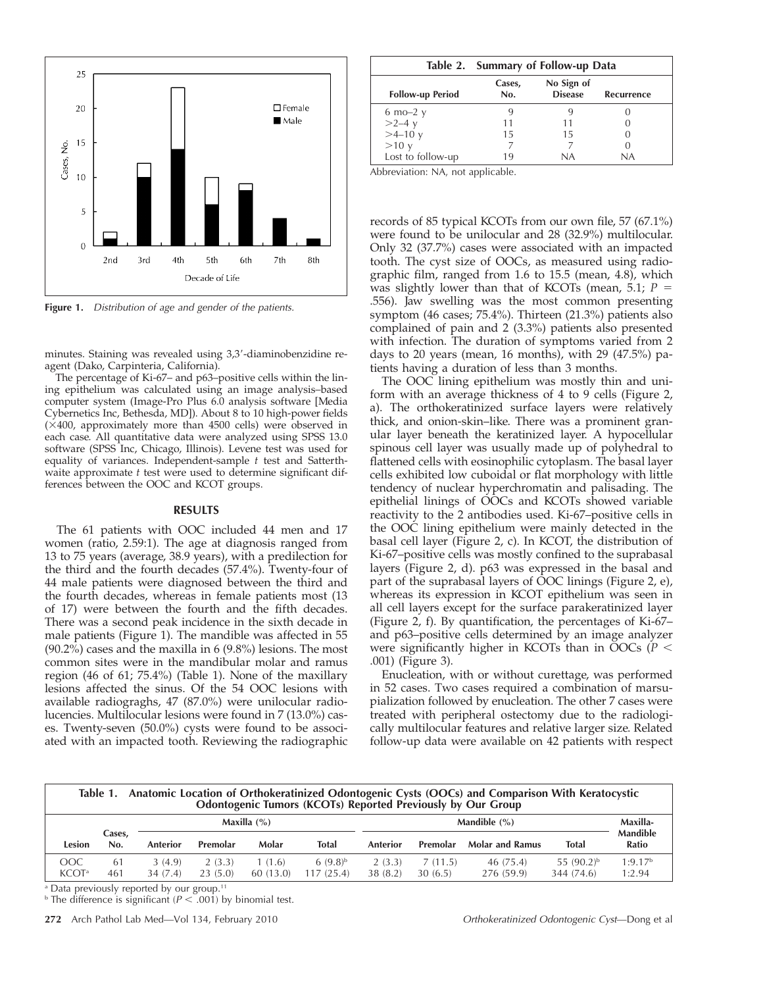

**Figure 1.** *Distribution of age and gender of the patients.*

minutes. Staining was revealed using 3,3-diaminobenzidine reagent (Dako, Carpinteria, California).

The percentage of Ki-67– and p63–positive cells within the lining epithelium was calculated using an image analysis–based computer system (Image-Pro Plus 6.0 analysis software [Media Cybernetics Inc, Bethesda, MD]). About 8 to 10 high-power fields  $(\times 400)$ , approximately more than 4500 cells) were observed in each case. All quantitative data were analyzed using SPSS 13.0 software (SPSS Inc, Chicago, Illinois). Levene test was used for equality of variances. Independent-sample *t* test and Satterthwaite approximate *t* test were used to determine significant differences between the OOC and KCOT groups.

### **RESULTS**

The 61 patients with OOC included 44 men and 17 women (ratio, 2.59:1). The age at diagnosis ranged from 13 to 75 years (average, 38.9 years), with a predilection for the third and the fourth decades (57.4%). Twenty-four of 44 male patients were diagnosed between the third and the fourth decades, whereas in female patients most (13 of 17) were between the fourth and the fifth decades. There was a second peak incidence in the sixth decade in male patients (Figure 1). The mandible was affected in 55 (90.2%) cases and the maxilla in 6 (9.8%) lesions. The most common sites were in the mandibular molar and ramus region (46 of 61; 75.4%) (Table 1). None of the maxillary lesions affected the sinus. Of the 54 OOC lesions with available radiograghs, 47 (87.0%) were unilocular radiolucencies. Multilocular lesions were found in 7 (13.0%) cases. Twenty-seven (50.0%) cysts were found to be associated with an impacted tooth. Reviewing the radiographic

|                            | Table 2. Summary of Follow-up Data |                              |            |  |  |  |  |  |
|----------------------------|------------------------------------|------------------------------|------------|--|--|--|--|--|
| <b>Follow-up Period</b>    | Cases,<br>No.                      | No Sign of<br><b>Disease</b> | Recurrence |  |  |  |  |  |
| $6 \text{ mo}-2 \text{ y}$ |                                    |                              |            |  |  |  |  |  |
| $>2-4$ y                   |                                    | 11                           |            |  |  |  |  |  |
| $>4-10$ y                  | 15                                 | 15                           |            |  |  |  |  |  |
| $>10$ y                    |                                    |                              |            |  |  |  |  |  |
| Lost to follow-up          | 19                                 | ΝA                           | NA         |  |  |  |  |  |

Abbreviation: NA, not applicable.

records of 85 typical KCOTs from our own file, 57 (67.1%) were found to be unilocular and 28 (32.9%) multilocular. Only 32 (37.7%) cases were associated with an impacted tooth. The cyst size of OOCs, as measured using radiographic film, ranged from 1.6 to 15.5 (mean, 4.8), which was slightly lower than that of KCOTs (mean, 5.1; *P* .556). Jaw swelling was the most common presenting symptom (46 cases; 75.4%). Thirteen (21.3%) patients also complained of pain and 2 (3.3%) patients also presented with infection. The duration of symptoms varied from 2 days to 20 years (mean, 16 months), with 29 (47.5%) patients having a duration of less than 3 months.

The OOC lining epithelium was mostly thin and uniform with an average thickness of 4 to 9 cells (Figure 2, a). The orthokeratinized surface layers were relatively thick, and onion-skin–like. There was a prominent granular layer beneath the keratinized layer. A hypocellular spinous cell layer was usually made up of polyhedral to flattened cells with eosinophilic cytoplasm. The basal layer cells exhibited low cuboidal or flat morphology with little tendency of nuclear hyperchromatin and palisading. The epithelial linings of OOCs and KCOTs showed variable reactivity to the 2 antibodies used. Ki-67–positive cells in the OOC lining epithelium were mainly detected in the basal cell layer (Figure 2, c). In KCOT, the distribution of Ki-67–positive cells was mostly confined to the suprabasal layers (Figure 2, d). p63 was expressed in the basal and part of the suprabasal layers of OOC linings (Figure 2, e), whereas its expression in KCOT epithelium was seen in all cell layers except for the surface parakeratinized layer (Figure 2, f). By quantification, the percentages of Ki-67– and p63–positive cells determined by an image analyzer were significantly higher in KCOTs than in OOCs (*P* .001) (Figure 3).

Enucleation, with or without curettage, was performed in 52 cases. Two cases required a combination of marsupialization followed by enucleation. The other 7 cases were treated with peripheral ostectomy due to the radiologically multilocular features and relative larger size. Related follow-up data were available on 42 patients with respect

| Anatomic Location of Orthokeratinized Odontogenic Cysts (OOCs) and Comparison With Keratocystic<br>Odontogenic Tumors (KCOTs) Reported Previously by Our Group<br>Table 1. |               |                   |                   |                    |                           |                    |                    |                         |                               |                               |  |  |
|----------------------------------------------------------------------------------------------------------------------------------------------------------------------------|---------------|-------------------|-------------------|--------------------|---------------------------|--------------------|--------------------|-------------------------|-------------------------------|-------------------------------|--|--|
|                                                                                                                                                                            |               | Maxilla $(\% )$   |                   |                    | Mandible $(\% )$          |                    |                    |                         | Maxilla-                      |                               |  |  |
| Lesion                                                                                                                                                                     | Cases,<br>No. | Anterior          | Premolar          | Molar              | Total                     | Anterior           | Premolar           | <b>Molar and Ramus</b>  | <b>Total</b>                  | <b>Mandible</b><br>Ratio      |  |  |
| OOC<br><b>KCOT</b> <sup>a</sup>                                                                                                                                            | -61<br>461    | 3(4.9)<br>34(7.4) | 2(3.3)<br>23(5.0) | 1(1.6)<br>60(13.0) | $6(9.8)^{b}$<br>117(25.4) | 2(3.3)<br>38 (8.2) | 7(11.5)<br>30(6.5) | 46 (75.4)<br>276 (59.9) | 55 $(90.2)^{b}$<br>344 (74.6) | 1:9.17 <sup>b</sup><br>1:2.94 |  |  |

<sup>a</sup> Data previously reported by our group.<sup>11</sup>

<sup>b</sup> The difference is significant  $(P < 0.01)$  by binomial test.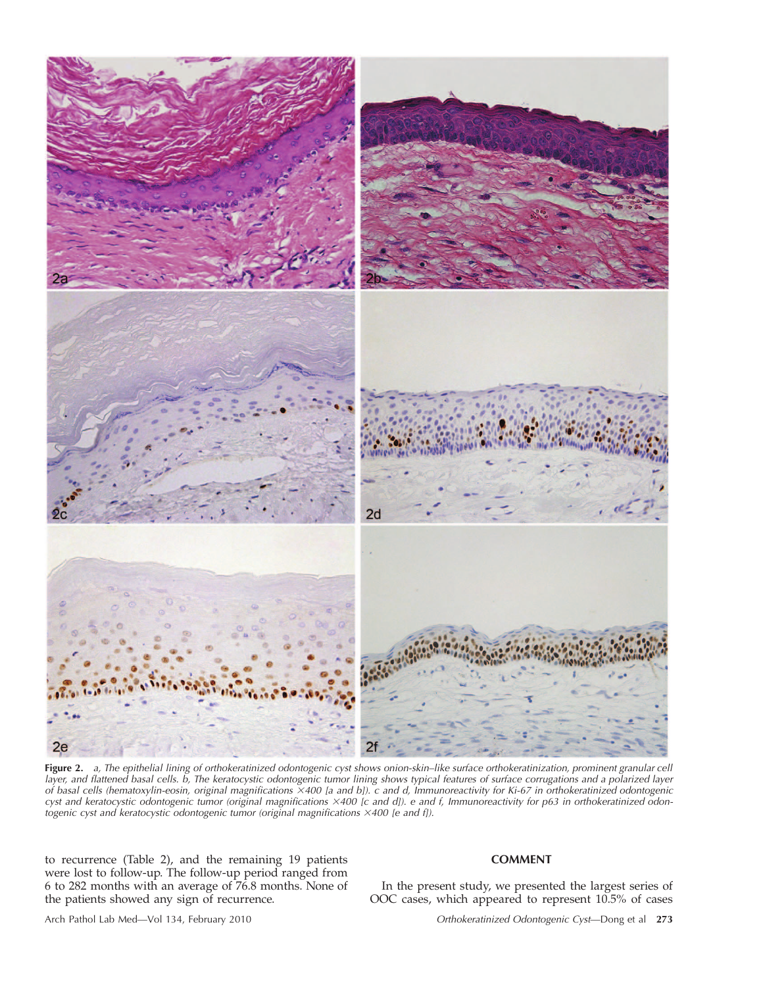

**Figure 2.** *a, The epithelial lining of orthokeratinized odontogenic cyst shows onion-skin–like surface orthokeratinization, prominent granular cell layer, and flattened basal cells. b, The keratocystic odontogenic tumor lining shows typical features of surface corrugations and a polarized layer of basal cells (hematoxylin-eosin, original magnifications 400 [a and b]). c and d, Immunoreactivity for Ki-67 in orthokeratinized odontogenic cyst and keratocystic odontogenic tumor (original magnifications 400 [c and d]). e and f, Immunoreactivity for p63 in orthokeratinized odontogenic cyst and keratocystic odontogenic tumor (original magnifications 400 [e and f]).*

to recurrence (Table 2), and the remaining 19 patients were lost to follow-up. The follow-up period ranged from 6 to 282 months with an average of 76.8 months. None of the patients showed any sign of recurrence.

## **COMMENT**

In the present study, we presented the largest series of OOC cases, which appeared to represent 10.5% of cases

Arch Pathol Lab Med—Vol 134, February 2010 *Orthokeratinized Odontogenic Cyst*—Dong et al **273**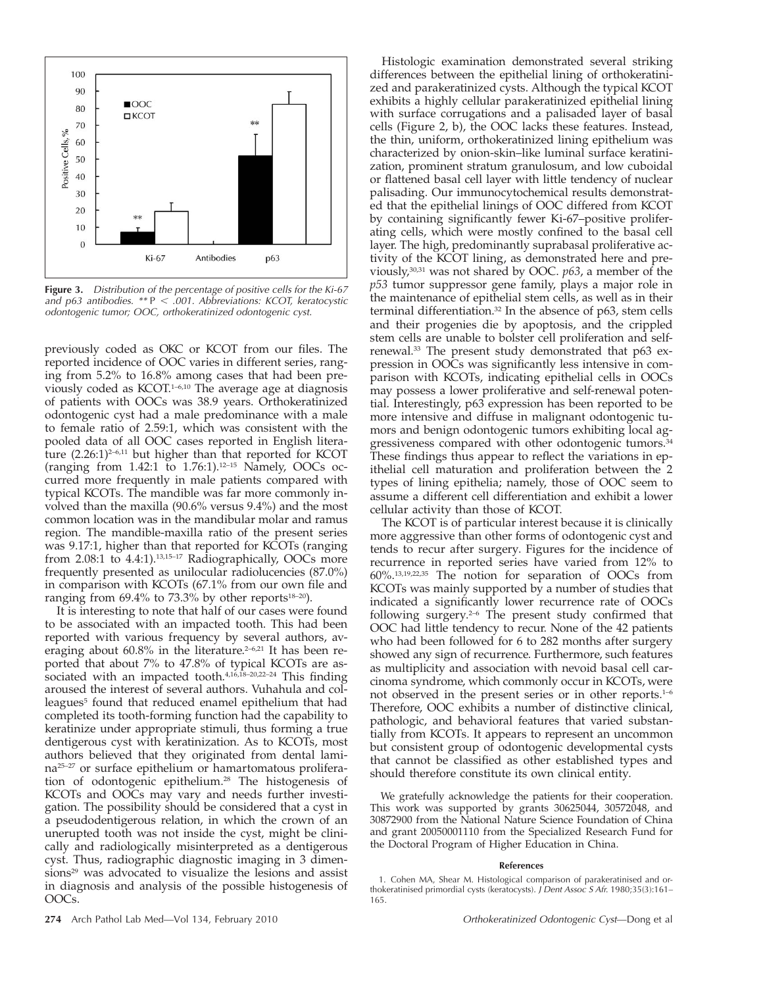

**Figure 3.** *Distribution of the percentage of positive cells for the Ki-67 and p63 antibodies. \*\** P *.001. Abbreviations: KCOT, keratocystic odontogenic tumor; OOC, orthokeratinized odontogenic cyst.*

previously coded as OKC or KCOT from our files. The reported incidence of OOC varies in different series, ranging from 5.2% to 16.8% among cases that had been previously coded as KCOT.1–6,10 The average age at diagnosis of patients with OOCs was 38.9 years. Orthokeratinized odontogenic cyst had a male predominance with a male to female ratio of 2.59:1, which was consistent with the pooled data of all OOC cases reported in English literature  $(2.26:1)^{2-6,11}$  but higher than that reported for KCOT (ranging from 1.42:1 to 1.76:1).12–15 Namely, OOCs occurred more frequently in male patients compared with typical KCOTs. The mandible was far more commonly involved than the maxilla (90.6% versus 9.4%) and the most common location was in the mandibular molar and ramus region. The mandible-maxilla ratio of the present series was 9.17:1, higher than that reported for KCOTs (ranging from 2.08:1 to 4.4:1).13,15–17 Radiographically, OOCs more frequently presented as unilocular radiolucencies (87.0%) in comparison with KCOTs (67.1% from our own file and ranging from  $69.4\%$  to 73.3% by other reports<sup>18-20</sup>).

It is interesting to note that half of our cases were found to be associated with an impacted tooth. This had been reported with various frequency by several authors, averaging about  $60.8\%$  in the literature.<sup>2-6,21</sup> It has been reported that about 7% to 47.8% of typical KCOTs are associated with an impacted tooth.<sup>4,16,18-20,22-24</sup> This finding aroused the interest of several authors. Vuhahula and colleagues<sup>5</sup> found that reduced enamel epithelium that had completed its tooth-forming function had the capability to keratinize under appropriate stimuli, thus forming a true dentigerous cyst with keratinization. As to KCOTs, most authors believed that they originated from dental lamina25–27 or surface epithelium or hamartomatous proliferation of odontogenic epithelium.28 The histogenesis of KCOTs and OOCs may vary and needs further investigation. The possibility should be considered that a cyst in a pseudodentigerous relation, in which the crown of an unerupted tooth was not inside the cyst, might be clinically and radiologically misinterpreted as a dentigerous cyst. Thus, radiographic diagnostic imaging in 3 dimensions<sup>29</sup> was advocated to visualize the lesions and assist in diagnosis and analysis of the possible histogenesis of OOCs.

Histologic examination demonstrated several striking differences between the epithelial lining of orthokeratinized and parakeratinized cysts. Although the typical KCOT exhibits a highly cellular parakeratinized epithelial lining with surface corrugations and a palisaded layer of basal cells (Figure 2, b), the OOC lacks these features. Instead, the thin, uniform, orthokeratinized lining epithelium was characterized by onion-skin–like luminal surface keratinization, prominent stratum granulosum, and low cuboidal or flattened basal cell layer with little tendency of nuclear palisading. Our immunocytochemical results demonstrated that the epithelial linings of OOC differed from KCOT by containing significantly fewer Ki-67–positive proliferating cells, which were mostly confined to the basal cell layer. The high, predominantly suprabasal proliferative activity of the KCOT lining, as demonstrated here and previously,30,31 was not shared by OOC. *p63*, a member of the *p53* tumor suppressor gene family, plays a major role in the maintenance of epithelial stem cells, as well as in their terminal differentiation.32 In the absence of p63, stem cells and their progenies die by apoptosis, and the crippled stem cells are unable to bolster cell proliferation and selfrenewal.33 The present study demonstrated that p63 expression in OOCs was significantly less intensive in comparison with KCOTs, indicating epithelial cells in OOCs may possess a lower proliferative and self-renewal potential. Interestingly, p63 expression has been reported to be more intensive and diffuse in malignant odontogenic tumors and benign odontogenic tumors exhibiting local aggressiveness compared with other odontogenic tumors.34 These findings thus appear to reflect the variations in epithelial cell maturation and proliferation between the 2 types of lining epithelia; namely, those of OOC seem to assume a different cell differentiation and exhibit a lower cellular activity than those of KCOT.

The KCOT is of particular interest because it is clinically more aggressive than other forms of odontogenic cyst and tends to recur after surgery. Figures for the incidence of recurrence in reported series have varied from 12% to 60%.13,19,22,35 The notion for separation of OOCs from KCOTs was mainly supported by a number of studies that indicated a significantly lower recurrence rate of OOCs following surgery.2–6 The present study confirmed that OOC had little tendency to recur. None of the 42 patients who had been followed for 6 to 282 months after surgery showed any sign of recurrence. Furthermore, such features as multiplicity and association with nevoid basal cell carcinoma syndrome, which commonly occur in KCOTs, were not observed in the present series or in other reports.1–6 Therefore, OOC exhibits a number of distinctive clinical, pathologic, and behavioral features that varied substantially from KCOTs. It appears to represent an uncommon but consistent group of odontogenic developmental cysts that cannot be classified as other established types and should therefore constitute its own clinical entity.

We gratefully acknowledge the patients for their cooperation. This work was supported by grants 30625044, 30572048, and 30872900 from the National Nature Science Foundation of China and grant 20050001110 from the Specialized Research Fund for the Doctoral Program of Higher Education in China.

#### **References**

<sup>1.</sup> Cohen MA, Shear M. Histological comparison of parakeratinised and orthokeratinised primordial cysts (keratocysts). *J Dent Assoc S Afr.* 1980;35(3):161– 165.